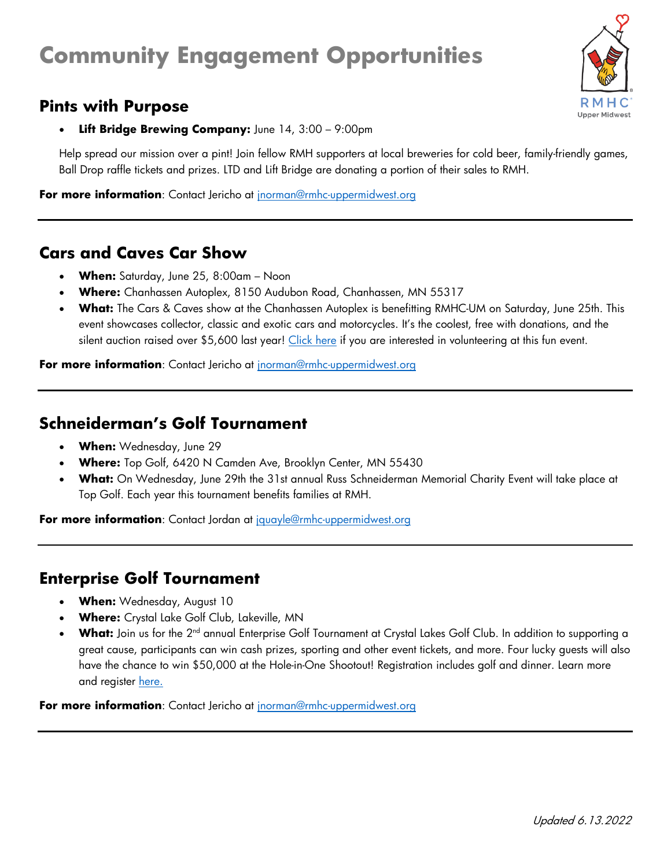# **Community Engagement Opportunities**

# **Pints with Purpose**



**Lift Bridge Brewing Company:** June 14, 3:00 - 9:00pm

Help spread our mission over a pint! Join fellow RMH supporters at local breweries for cold beer, family-friendly games, Ball Drop raffle tickets and prizes. LTD and Lift Bridge are donating a portion of their sales to RMH.

**For more information**: Contact Jericho at [jnorman@rmhc-uppermidwest.org](mailto:jnorman@rmhc-uppermidwest.org)

# **Cars and Caves Car Show**

- **When:** Saturday, June 25, 8:00am Noon
- **Where:** Chanhassen Autoplex, 8150 Audubon Road, Chanhassen, MN 55317
- **What:** The Cars & Caves show at the Chanhassen Autoplex is benefitting RMHC-UM on Saturday, June 25th. This event showcases collector, classic and exotic cars and motorcycles. It's the coolest, free with donations, and the silent auction raised over \$5,600 last year! [Click here](https://rmhcuppermidwest.volunteerhub.com/lp/rmhevents/event/44287eb2-cc5f-41a4-9e7f-4ea61428414a) if you are interested in volunteering at this fun event.

**For more information**: Contact Jericho at [jnorman@rmhc-uppermidwest.org](mailto:jnorman@rmhc-uppermidwest.org)

#### **Schneiderman's Golf Tournament**

- **When:** Wednesday, June 29
- **Where:** Top Golf, 6420 N Camden Ave, Brooklyn Center, MN 55430
- **What:** On Wednesday, June 29th the 31st annual Russ Schneiderman Memorial Charity Event will take place at Top Golf. Each year this tournament benefits families at RMH.

**For more information**: Contact Jordan at [jquayle@rmhc-uppermidwest.org](mailto:jquayle@rmhc-uppermidwest.org)

# **Enterprise Golf Tournament**

- **When:** Wednesday, August 10
- **Where:** Crystal Lake Golf Club, Lakeville, MN
- **What:** Join us for the 2<sup>nd</sup> annual Enterprise Golf Tournament at Crystal Lakes Golf Club. In addition to supporting a great cause, participants can win cash prizes, sporting and other event tickets, and more. Four lucky guests will also have the chance to win \$50,000 at the Hole-in-One Shootout! Registration includes golf and dinner. Learn more and register [here.](https://www.planmygolfevent.com/36482-2022EnterpriseGolfTournament/index.html)

**For more information**: Contact Jericho at [jnorman@rmhc-uppermidwest.org](mailto:jnorman@rmhc-uppermidwest.org)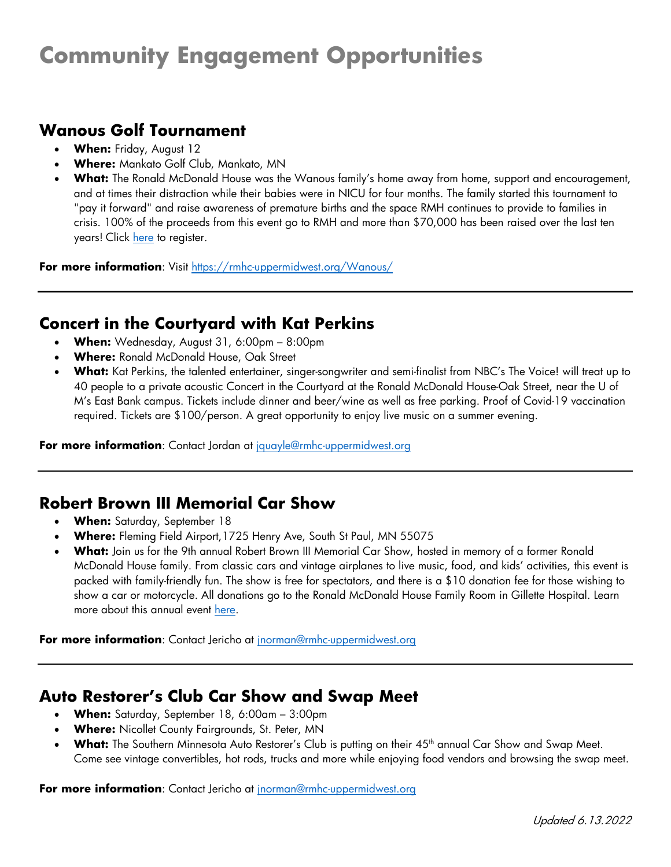# **Community Engagement Opportunities**

# **Wanous Golf Tournament**

- **When:** Friday, August 12
- **Where:** Mankato Golf Club, Mankato, MN
- **What:** The Ronald McDonald House was the Wanous family's home away from home, support and encouragement, and at times their distraction while their babies were in NICU for four months. The family started this tournament to "pay it forward" and raise awareness of premature births and the space RMH continues to provide to families in crisis. 100% of the proceeds from this event go to RMH and more than \$70,000 has been raised over the last ten years! Click [here](https://rmhc-uppermidwest.org/Wanous/) to register.

**For more information**: Visit<https://rmhc-uppermidwest.org/Wanous/>

#### **Concert in the Courtyard with Kat Perkins**

- **When:** Wednesday, August 31, 6:00pm 8:00pm
- **Where:** Ronald McDonald House, Oak Street
- **What:** Kat Perkins, the talented entertainer, singer-songwriter and semi-finalist from NBC's The Voice! will treat up to 40 people to a private acoustic Concert in the Courtyard at the Ronald McDonald House-Oak Street, near the U of M's East Bank campus. Tickets include dinner and beer/wine as well as free parking. Proof of Covid-19 vaccination required. Tickets are \$100/person. A great opportunity to enjoy live music on a summer evening.

**For more information**: Contact Jordan at [jquayle@rmhc-uppermidwest.org](mailto:enewkirk@rmhc-uppermidwest.org)

#### **Robert Brown III Memorial Car Show**

- **When:** Saturday, September 18
- **Where:** Fleming Field Airport,1725 Henry Ave, South St Paul, MN 55075
- **What:** Join us for the 9th annual Robert Brown III Memorial Car Show, hosted in memory of a former Ronald McDonald House family. From classic cars and vintage airplanes to live music, food, and kids' activities, this event is packed with family-friendly fun. The show is free for spectators, and there is a \$10 donation fee for those wishing to show a car or motorcycle. All donations go to the Ronald McDonald House Family Room in Gillette Hospital. Learn more about this annual event [here.](https://www.rb3carshow.com/)

**For more information**: Contact Jericho at [jnorman@rmhc-uppermidwest.org](mailto:jnorman@rmhc-uppermidwest.org)

#### **Auto Restorer's Club Car Show and Swap Meet**

- **When:** Saturday, September 18, 6:00am 3:00pm
- **Where:** Nicollet County Fairgrounds, St. Peter, MN
- What: The Southern Minnesota Auto Restorer's Club is putting on their 45<sup>th</sup> annual Car Show and Swap Meet. Come see vintage convertibles, hot rods, trucks and more while enjoying food vendors and browsing the swap meet.

**For more information**: Contact Jericho at [jnorman@rmhc-uppermidwest.org](mailto:jnorman@rmhc-uppermidwest.org)